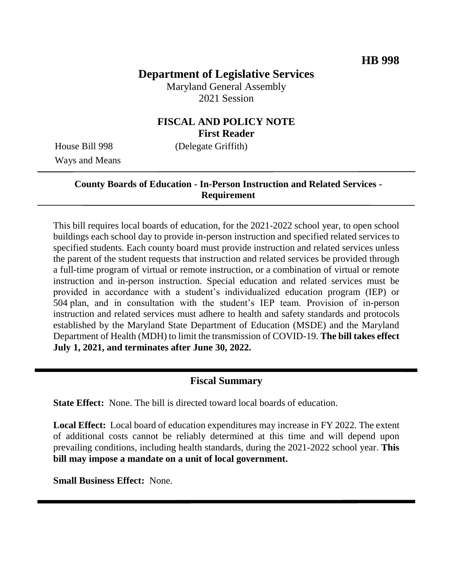# **Department of Legislative Services**

Maryland General Assembly 2021 Session

# **FISCAL AND POLICY NOTE First Reader**

Ways and Means

House Bill 998 (Delegate Griffith)

# **County Boards of Education - In-Person Instruction and Related Services - Requirement**

This bill requires local boards of education, for the 2021-2022 school year, to open school buildings each school day to provide in-person instruction and specified related services to specified students. Each county board must provide instruction and related services unless the parent of the student requests that instruction and related services be provided through a full-time program of virtual or remote instruction, or a combination of virtual or remote instruction and in-person instruction. Special education and related services must be provided in accordance with a student's individualized education program (IEP) or 504 plan, and in consultation with the student's IEP team. Provision of in-person instruction and related services must adhere to health and safety standards and protocols established by the Maryland State Department of Education (MSDE) and the Maryland Department of Health (MDH) to limit the transmission of COVID-19. **The bill takes effect July 1, 2021, and terminates after June 30, 2022.**

# **Fiscal Summary**

**State Effect:** None. The bill is directed toward local boards of education.

**Local Effect:** Local board of education expenditures may increase in FY 2022. The extent of additional costs cannot be reliably determined at this time and will depend upon prevailing conditions, including health standards, during the 2021-2022 school year. **This bill may impose a mandate on a unit of local government.**

**Small Business Effect:** None.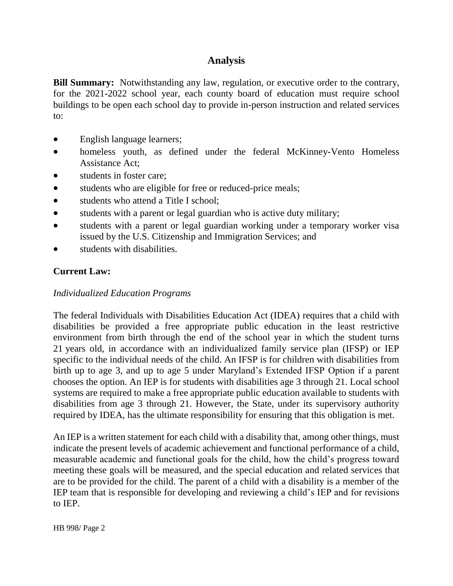# **Analysis**

**Bill Summary:** Notwithstanding any law, regulation, or executive order to the contrary, for the 2021-2022 school year, each county board of education must require school buildings to be open each school day to provide in-person instruction and related services to:

- English language learners;
- homeless youth, as defined under the federal McKinney-Vento Homeless Assistance Act;
- students in foster care;
- students who are eligible for free or reduced-price meals;
- students who attend a Title I school:
- students with a parent or legal guardian who is active duty military;
- students with a parent or legal guardian working under a temporary worker visa issued by the U.S. Citizenship and Immigration Services; and
- students with disabilities.

## **Current Law:**

#### *Individualized Education Programs*

The federal Individuals with Disabilities Education Act (IDEA) requires that a child with disabilities be provided a free appropriate public education in the least restrictive environment from birth through the end of the school year in which the student turns 21 years old, in accordance with an individualized family service plan (IFSP) or IEP specific to the individual needs of the child. An IFSP is for children with disabilities from birth up to age 3, and up to age 5 under Maryland's Extended IFSP Option if a parent chooses the option. An IEP is for students with disabilities age 3 through 21. Local school systems are required to make a free appropriate public education available to students with disabilities from age 3 through 21. However, the State, under its supervisory authority required by IDEA, has the ultimate responsibility for ensuring that this obligation is met.

An IEP is a written statement for each child with a disability that, among other things, must indicate the present levels of academic achievement and functional performance of a child, measurable academic and functional goals for the child, how the child's progress toward meeting these goals will be measured, and the special education and related services that are to be provided for the child. The parent of a child with a disability is a member of the IEP team that is responsible for developing and reviewing a child's IEP and for revisions to IEP.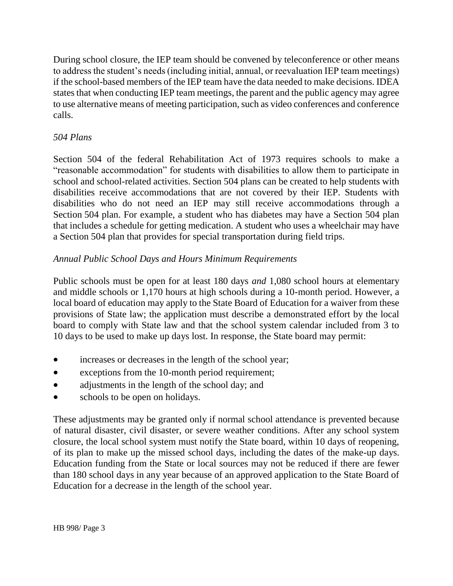During school closure, the IEP team should be convened by teleconference or other means to address the student's needs (including initial, annual, or reevaluation IEP team meetings) if the school-based members of the IEP team have the data needed to make decisions. IDEA states that when conducting IEP team meetings, the parent and the public agency may agree to use alternative means of meeting participation, such as video conferences and conference calls.

# *504 Plans*

Section 504 of the federal Rehabilitation Act of 1973 requires schools to make a "reasonable accommodation" for students with disabilities to allow them to participate in school and school-related activities. Section 504 plans can be created to help students with disabilities receive accommodations that are not covered by their IEP. Students with disabilities who do not need an IEP may still receive accommodations through a Section 504 plan. For example, a student who has diabetes may have a Section 504 plan that includes a schedule for getting medication. A student who uses a wheelchair may have a Section 504 plan that provides for special transportation during field trips.

## *Annual Public School Days and Hours Minimum Requirements*

Public schools must be open for at least 180 days *and* 1,080 school hours at elementary and middle schools or 1,170 hours at high schools during a 10-month period. However, a local board of education may apply to the State Board of Education for a waiver from these provisions of State law; the application must describe a demonstrated effort by the local board to comply with State law and that the school system calendar included from 3 to 10 days to be used to make up days lost. In response, the State board may permit:

- increases or decreases in the length of the school year;
- exceptions from the 10-month period requirement;
- adjustments in the length of the school day; and
- schools to be open on holidays.

These adjustments may be granted only if normal school attendance is prevented because of natural disaster, civil disaster, or severe weather conditions. After any school system closure, the local school system must notify the State board, within 10 days of reopening, of its plan to make up the missed school days, including the dates of the make-up days. Education funding from the State or local sources may not be reduced if there are fewer than 180 school days in any year because of an approved application to the State Board of Education for a decrease in the length of the school year.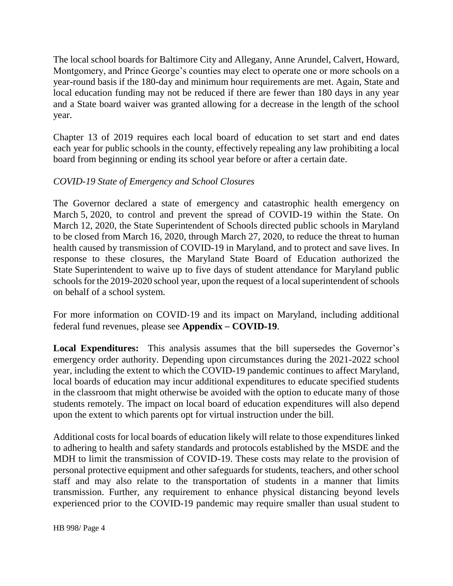The local school boards for Baltimore City and Allegany, Anne Arundel, Calvert, Howard, Montgomery, and Prince George's counties may elect to operate one or more schools on a year-round basis if the 180-day and minimum hour requirements are met. Again, State and local education funding may not be reduced if there are fewer than 180 days in any year and a State board waiver was granted allowing for a decrease in the length of the school year.

Chapter 13 of 2019 requires each local board of education to set start and end dates each year for public schools in the county, effectively repealing any law prohibiting a local board from beginning or ending its school year before or after a certain date.

#### *COVID-19 State of Emergency and School Closures*

The Governor declared a state of emergency and catastrophic health emergency on March 5, 2020, to control and prevent the spread of COVID-19 within the State. On March 12, 2020, the State Superintendent of Schools directed public schools in Maryland to be closed from March 16, 2020, through March 27, 2020, to reduce the threat to human health caused by transmission of COVID-19 in Maryland, and to protect and save lives. In response to these closures, the Maryland State Board of Education authorized the State Superintendent to waive up to five days of student attendance for Maryland public schools for the 2019-2020 school year, upon the request of a local superintendent of schools on behalf of a school system.

For more information on COVID-19 and its impact on Maryland, including additional federal fund revenues, please see **Appendix – COVID-19**.

**Local Expenditures:** This analysis assumes that the bill supersedes the Governor's emergency order authority. Depending upon circumstances during the 2021-2022 school year, including the extent to which the COVID-19 pandemic continues to affect Maryland, local boards of education may incur additional expenditures to educate specified students in the classroom that might otherwise be avoided with the option to educate many of those students remotely. The impact on local board of education expenditures will also depend upon the extent to which parents opt for virtual instruction under the bill.

Additional costs for local boards of education likely will relate to those expenditures linked to adhering to health and safety standards and protocols established by the MSDE and the MDH to limit the transmission of COVID-19. These costs may relate to the provision of personal protective equipment and other safeguards for students, teachers, and other school staff and may also relate to the transportation of students in a manner that limits transmission. Further, any requirement to enhance physical distancing beyond levels experienced prior to the COVID-19 pandemic may require smaller than usual student to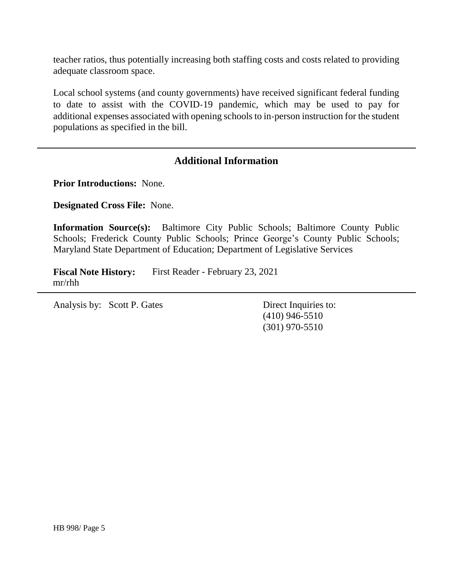teacher ratios, thus potentially increasing both staffing costs and costs related to providing adequate classroom space.

Local school systems (and county governments) have received significant federal funding to date to assist with the COVID-19 pandemic, which may be used to pay for additional expenses associated with opening schools to in-person instruction for the student populations as specified in the bill.

## **Additional Information**

**Prior Introductions:** None.

**Designated Cross File:** None.

**Information Source(s):** Baltimore City Public Schools; Baltimore County Public Schools; Frederick County Public Schools; Prince George's County Public Schools; Maryland State Department of Education; Department of Legislative Services

**Fiscal Note History:** First Reader - February 23, 2021 mr/rhh

Analysis by: Scott P. Gates Direct Inquiries to:

(410) 946-5510 (301) 970-5510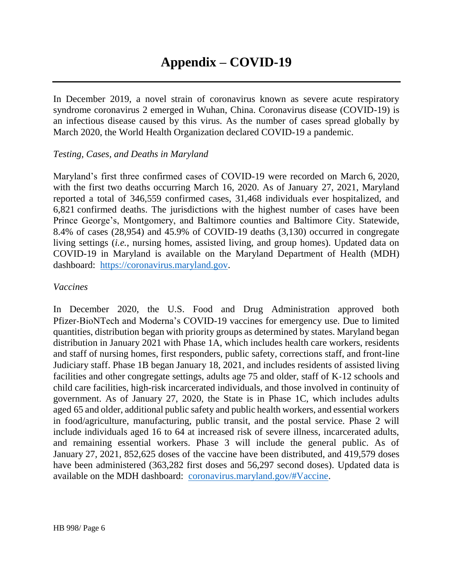In December 2019, a novel strain of coronavirus known as severe acute respiratory syndrome coronavirus 2 emerged in Wuhan, China. Coronavirus disease (COVID-19) is an infectious disease caused by this virus. As the number of cases spread globally by March 2020, the World Health Organization declared COVID-19 a pandemic.

#### *Testing, Cases, and Deaths in Maryland*

Maryland's first three confirmed cases of COVID-19 were recorded on March 6, 2020, with the first two deaths occurring March 16, 2020. As of January 27, 2021, Maryland reported a total of 346,559 confirmed cases, 31,468 individuals ever hospitalized, and 6,821 confirmed deaths. The jurisdictions with the highest number of cases have been Prince George's, Montgomery, and Baltimore counties and Baltimore City. Statewide, 8.4% of cases (28,954) and 45.9% of COVID-19 deaths (3,130) occurred in congregate living settings (*i.e.*, nursing homes, assisted living, and group homes). Updated data on COVID-19 in Maryland is available on the Maryland Department of Health (MDH) dashboard: [https://coronavirus.maryland.gov.](https://coronavirus.maryland.gov/)

#### *Vaccines*

In December 2020, the U.S. Food and Drug Administration approved both Pfizer-BioNTech and Moderna's COVID-19 vaccines for emergency use. Due to limited quantities, distribution began with priority groups as determined by states. Maryland began distribution in January 2021 with Phase 1A, which includes health care workers, residents and staff of nursing homes, first responders, public safety, corrections staff, and front-line Judiciary staff. Phase 1B began January 18, 2021, and includes residents of assisted living facilities and other congregate settings, adults age 75 and older, staff of K-12 schools and child care facilities, high-risk incarcerated individuals, and those involved in continuity of government. As of January 27, 2020, the State is in Phase 1C, which includes adults aged 65 and older, additional public safety and public health workers, and essential workers in food/agriculture, manufacturing, public transit, and the postal service. Phase 2 will include individuals aged 16 to 64 at increased risk of severe illness, incarcerated adults, and remaining essential workers. Phase 3 will include the general public. As of January 27, 2021, 852,625 doses of the vaccine have been distributed, and 419,579 doses have been administered (363,282 first doses and 56,297 second doses). Updated data is available on the MDH dashboard: [coronavirus.maryland.gov/#Vaccine.](https://coronavirus.maryland.gov/#Vaccine)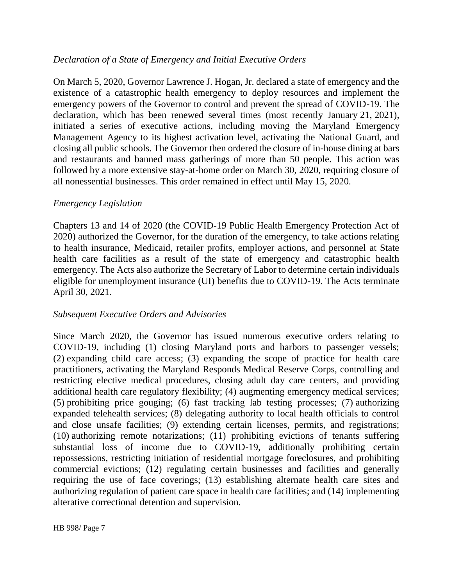#### *Declaration of a State of Emergency and Initial Executive Orders*

On March 5, 2020, Governor Lawrence J. Hogan, Jr. declared a state of emergency and the existence of a catastrophic health emergency to deploy resources and implement the emergency powers of the Governor to control and prevent the spread of COVID-19. The declaration, which has been renewed several times (most recently January 21, 2021), initiated a series of executive actions, including moving the Maryland Emergency Management Agency to its highest activation level, activating the National Guard, and closing all public schools. The Governor then ordered the closure of in-house dining at bars and restaurants and banned mass gatherings of more than 50 people. This action was followed by a more extensive stay-at-home order on March 30, 2020, requiring closure of all nonessential businesses. This order remained in effect until May 15, 2020.

#### *Emergency Legislation*

Chapters 13 and 14 of 2020 (the COVID-19 Public Health Emergency Protection Act of 2020) authorized the Governor, for the duration of the emergency, to take actions relating to health insurance, Medicaid, retailer profits, employer actions, and personnel at State health care facilities as a result of the state of emergency and catastrophic health emergency. The Acts also authorize the Secretary of Labor to determine certain individuals eligible for unemployment insurance (UI) benefits due to COVID-19. The Acts terminate April 30, 2021.

#### *Subsequent Executive Orders and Advisories*

Since March 2020, the Governor has issued numerous executive orders relating to COVID-19, including (1) closing Maryland ports and harbors to passenger vessels; (2) expanding child care access; (3) expanding the scope of practice for health care practitioners, activating the Maryland Responds Medical Reserve Corps, controlling and restricting elective medical procedures, closing adult day care centers, and providing additional health care regulatory flexibility; (4) augmenting emergency medical services; (5) prohibiting price gouging; (6) fast tracking lab testing processes; (7) authorizing expanded telehealth services; (8) delegating authority to local health officials to control and close unsafe facilities; (9) extending certain licenses, permits, and registrations; (10) authorizing remote notarizations; (11) prohibiting evictions of tenants suffering substantial loss of income due to COVID-19, additionally prohibiting certain repossessions, restricting initiation of residential mortgage foreclosures, and prohibiting commercial evictions; (12) regulating certain businesses and facilities and generally requiring the use of face coverings; (13) establishing alternate health care sites and authorizing regulation of patient care space in health care facilities; and (14) implementing alterative correctional detention and supervision.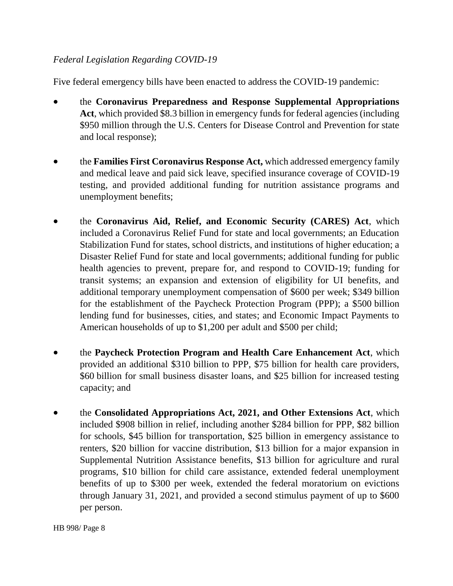## *Federal Legislation Regarding COVID-19*

Five federal emergency bills have been enacted to address the COVID-19 pandemic:

- the **Coronavirus Preparedness and Response Supplemental Appropriations**  Act, which provided \$8.3 billion in emergency funds for federal agencies (including \$950 million through the U.S. Centers for Disease Control and Prevention for state and local response);
- the **Families First Coronavirus Response Act,** which addressed emergency family and medical leave and paid sick leave, specified insurance coverage of COVID-19 testing, and provided additional funding for nutrition assistance programs and unemployment benefits;
- the **Coronavirus Aid, Relief, and Economic Security (CARES) Act**, which included a Coronavirus Relief Fund for state and local governments; an Education Stabilization Fund for states, school districts, and institutions of higher education; a Disaster Relief Fund for state and local governments; additional funding for public health agencies to prevent, prepare for, and respond to COVID-19; funding for transit systems; an expansion and extension of eligibility for UI benefits, and additional temporary unemployment compensation of \$600 per week; \$349 billion for the establishment of the Paycheck Protection Program (PPP); a \$500 billion lending fund for businesses, cities, and states; and Economic Impact Payments to American households of up to \$1,200 per adult and \$500 per child;
- the **Paycheck Protection Program and Health Care Enhancement Act**, which provided an additional \$310 billion to PPP, \$75 billion for health care providers, \$60 billion for small business disaster loans, and \$25 billion for increased testing capacity; and
- the **Consolidated Appropriations Act, 2021, and Other Extensions Act**, which included \$908 billion in relief, including another \$284 billion for PPP, \$82 billion for schools, \$45 billion for transportation, \$25 billion in emergency assistance to renters, \$20 billion for vaccine distribution, \$13 billion for a major expansion in Supplemental Nutrition Assistance benefits, \$13 billion for agriculture and rural programs, \$10 billion for child care assistance, extended federal unemployment benefits of up to \$300 per week, extended the federal moratorium on evictions through January 31, 2021, and provided a second stimulus payment of up to \$600 per person.